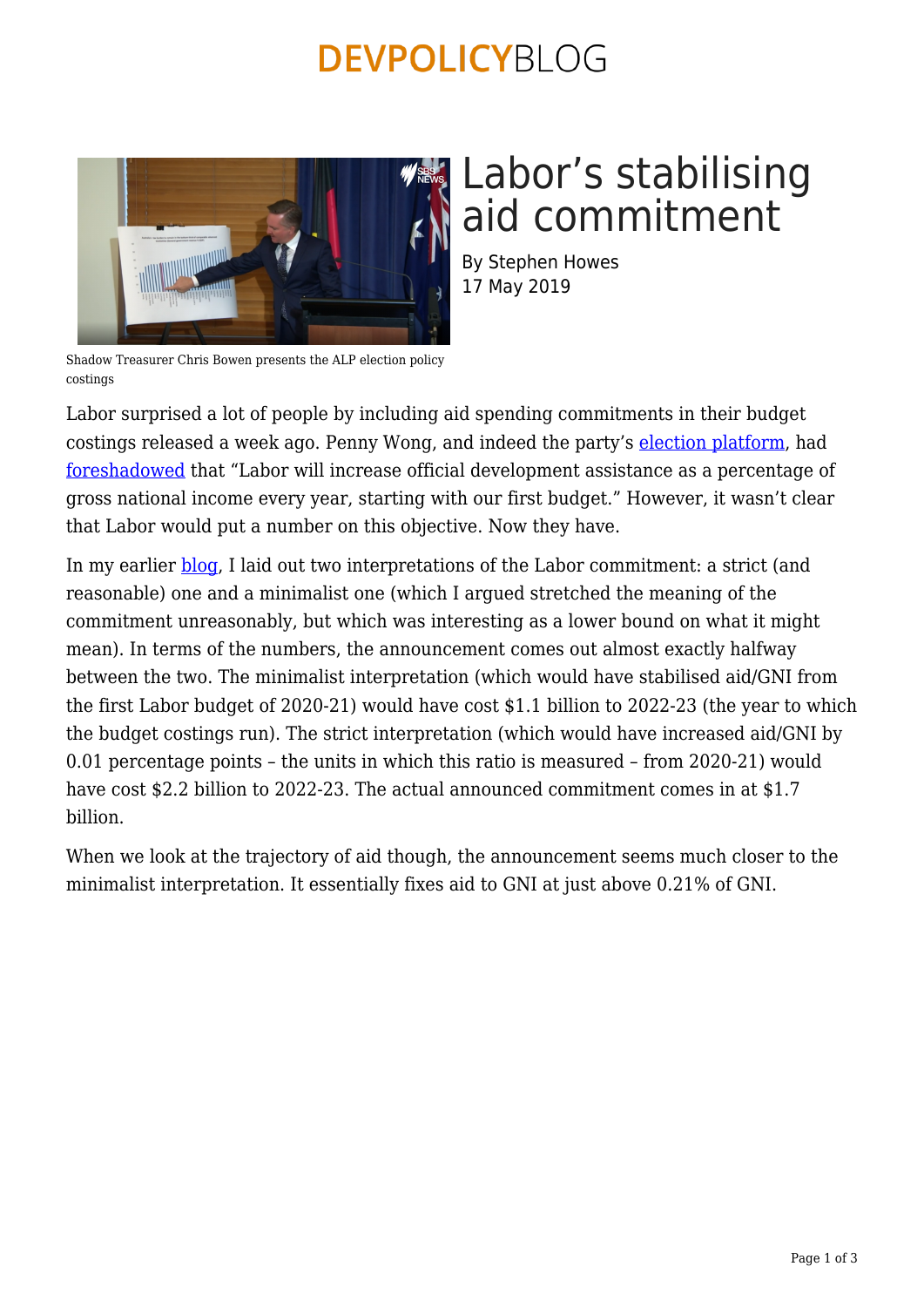## **DEVPOLICYBLOG**



# Labor's stabilising aid commitment

By Stephen Howes 17 May 2019

Shadow Treasurer Chris Bowen presents the ALP election policy costings

Labor surprised a lot of people by including aid spending commitments in their budget costings released a week ago. Penny Wong, and indeed the party's [election platform,](https://www.alp.org.au/policies/labors-plan-for-international-development-assistance/) had [foreshadowed](https://www.pennywong.com.au/speeches/australian-values-australias-interests-foreign-policy-under-a-shorten-labor-government-the-lowy-institute-sydney/) that "Labor will increase official development assistance as a percentage of gross national income every year, starting with our first budget." However, it wasn't clear that Labor would put a number on this objective. Now they have.

In my earlier **blog**, I laid out two interpretations of the Labor commitment: a strict (and reasonable) one and a minimalist one (which I argued stretched the meaning of the commitment unreasonably, but which was interesting as a lower bound on what it might mean). In terms of the numbers, the announcement comes out almost exactly halfway between the two. The minimalist interpretation (which would have stabilised aid/GNI from the first Labor budget of 2020-21) would have cost \$1.1 billion to 2022-23 (the year to which the budget costings run). The strict interpretation (which would have increased aid/GNI by 0.01 percentage points – the units in which this ratio is measured – from 2020-21) would have cost \$2.2 billion to 2022-23. The actual announced commitment comes in at \$1.7 billion.

When we look at the trajectory of aid though, the announcement seems much closer to the minimalist interpretation. It essentially fixes aid to GNI at just above 0.21% of GNI.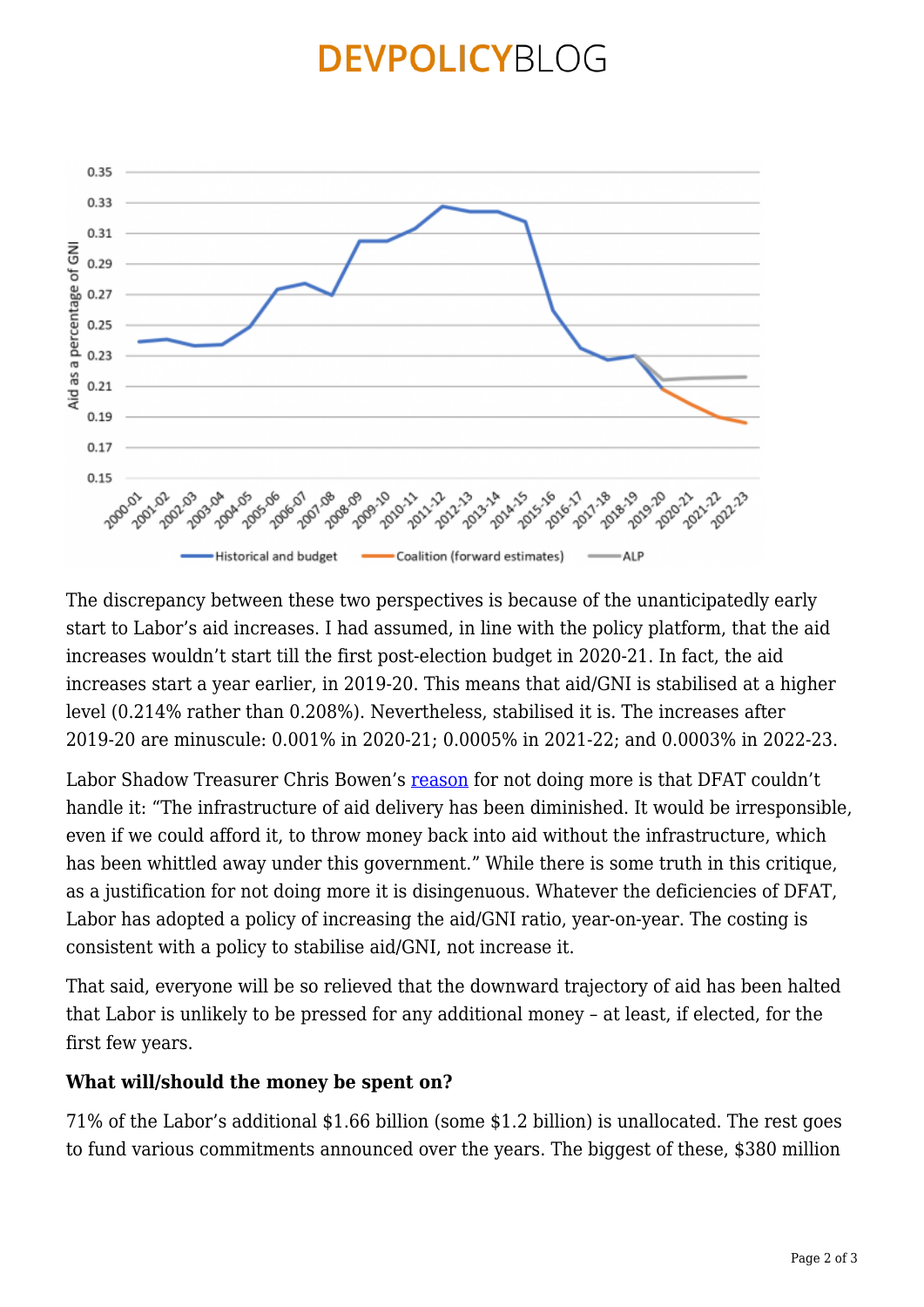### **DEVPOLICYBLOG**



The discrepancy between these two perspectives is because of the unanticipatedly early start to Labor's aid increases. I had assumed, in line with the policy platform, that the aid increases wouldn't start till the first post-election budget in 2020-21. In fact, the aid increases start a year earlier, in 2019-20. This means that aid/GNI is stabilised at a higher level (0.214% rather than 0.208%). Nevertheless, stabilised it is. The increases after 2019-20 are minuscule: 0.001% in 2020-21; 0.0005% in 2021-22; and 0.0003% in 2022-23.

Labor Shadow Treasurer Chris Bowen's [reason](https://www.smh.com.au/federal-election-2019/labor-promises-an-extra-1-6-billion-in-foreign-aid-in-surprise-funding-20190510-p51m1b.html) for not doing more is that DFAT couldn't handle it: "The infrastructure of aid delivery has been diminished. It would be irresponsible, even if we could afford it, to throw money back into aid without the infrastructure, which has been whittled away under this government." While there is some truth in this critique, as a justification for not doing more it is disingenuous. Whatever the deficiencies of DFAT, Labor has adopted a policy of increasing the aid/GNI ratio, year-on-year. The costing is consistent with a policy to stabilise aid/GNI, not increase it.

That said, everyone will be so relieved that the downward trajectory of aid has been halted that Labor is unlikely to be pressed for any additional money – at least, if elected, for the first few years.

#### **What will/should the money be spent on?**

71% of the Labor's additional \$1.66 billion (some \$1.2 billion) is unallocated. The rest goes to fund various commitments announced over the years. The biggest of these, \$380 million